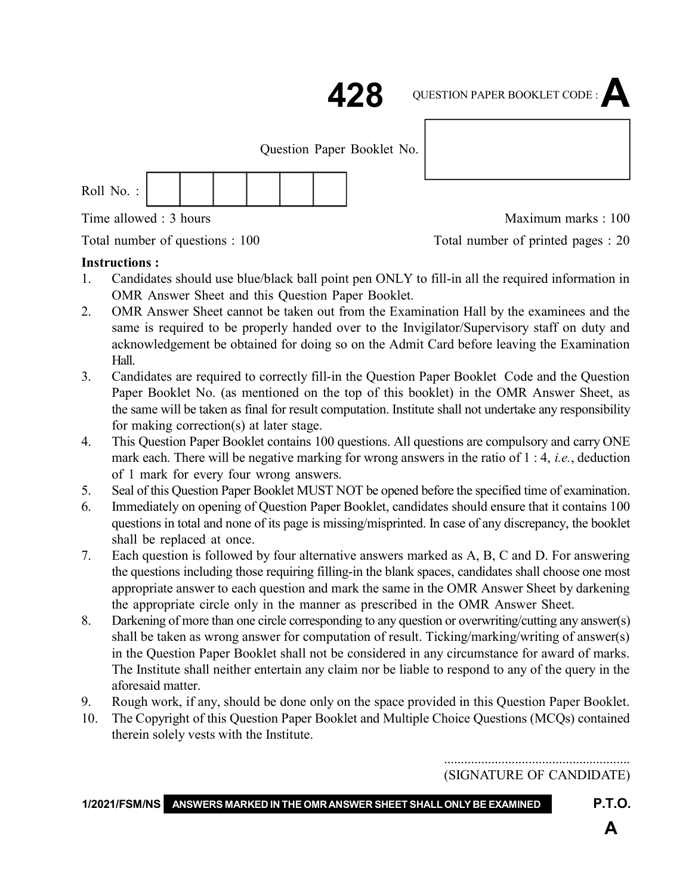: 1 : **428 428** QUESTION PAPER BOOKLET CODE :**A**

Question Paper Booklet No.

| Roll No.: |  |  |  |  |  |  |
|-----------|--|--|--|--|--|--|
|-----------|--|--|--|--|--|--|

Time allowed : 3 hours and the state of the Maximum marks : 100

Total number of questions : 100 Total number of printed pages : 20

#### **Instructions :**

- 1. Candidates should use blue/black ball point pen ONLY to fill-in all the required information in OMR Answer Sheet and this Question Paper Booklet.
- 2. OMR Answer Sheet cannot be taken out from the Examination Hall by the examinees and the same is required to be properly handed over to the Invigilator/Supervisory staff on duty and acknowledgement be obtained for doing so on the Admit Card before leaving the Examination Hall.
- 3. Candidates are required to correctly fill-in the Question Paper Booklet Code and the Question Paper Booklet No. (as mentioned on the top of this booklet) in the OMR Answer Sheet, as the same will be taken as final for result computation. Institute shall not undertake any responsibility for making correction(s) at later stage.
- 4. This Question Paper Booklet contains 100 questions. All questions are compulsory and carry ONE mark each. There will be negative marking for wrong answers in the ratio of 1 : 4, *i.e.*, deduction of 1 mark for every four wrong answers.
- 5. Seal of this Question Paper Booklet MUST NOT be opened before the specified time of examination.
- 6. Immediately on opening of Question Paper Booklet, candidates should ensure that it contains 100 questions in total and none of its page is missing/misprinted. In case of any discrepancy, the booklet shall be replaced at once.
- 7. Each question is followed by four alternative answers marked as A, B, C and D. For answering the questions including those requiring filling-in the blank spaces, candidates shall choose one most appropriate answer to each question and mark the same in the OMR Answer Sheet by darkening the appropriate circle only in the manner as prescribed in the OMR Answer Sheet.
- 8. Darkening of more than one circle corresponding to any question or overwriting/cutting any answer(s) shall be taken as wrong answer for computation of result. Ticking/marking/writing of answer(s) in the Question Paper Booklet shall not be considered in any circumstance for award of marks. The Institute shall neither entertain any claim nor be liable to respond to any of the query in the aforesaid matter.
- 9. Rough work, if any, should be done only on the space provided in this Question Paper Booklet.
- 10. The Copyright of this Question Paper Booklet and Multiple Choice Questions (MCQs) contained therein solely vests with the Institute.

....................................................... (SIGNATURE OF CANDIDATE)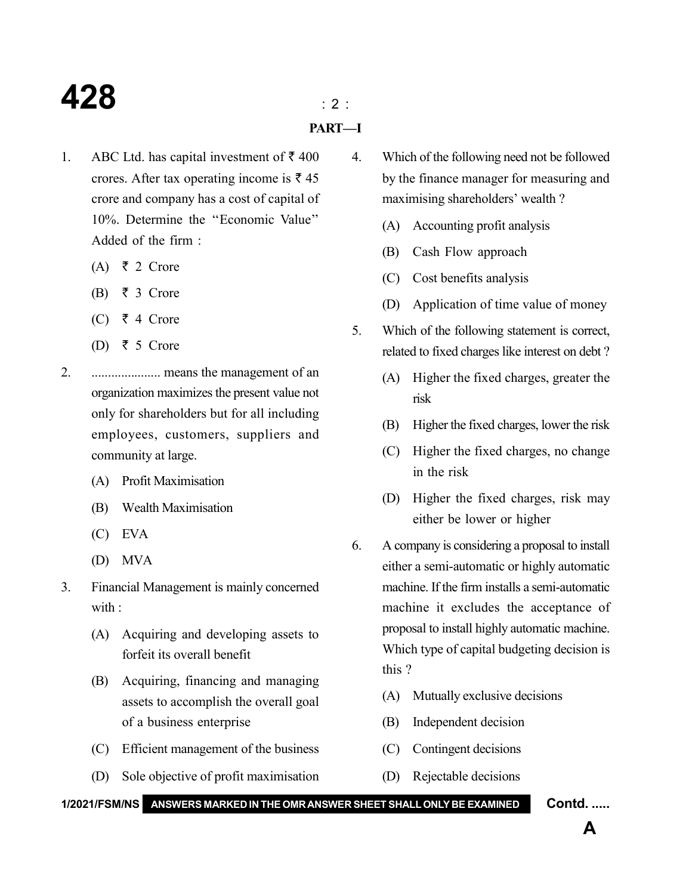## **428** : 2 :

- **PART—I**
- 1. ABC Ltd. has capital investment of  $\bar{\tau}$  400 crores. After tax operating income is  $\bar{\tau}$  45 crore and company has a cost of capital of 10%. Determine the ''Economic Value'' Added of the firm :
	- $(A) \quad \xi \quad 2 \quad \text{Core}$
	- $(B) \quad \xi \quad 3$  Crore
	- (C) ₹ 4 Crore
	- (D) ₹ 5 Crore
- 2. ..................... means the management of an organization maximizes the present value not only for shareholders but for all including employees, customers, suppliers and community at large.
	- (A) Profit Maximisation
	- (B) Wealth Maximisation
	- (C) EVA
	- (D) MVA
- 3. Financial Management is mainly concerned with :
	- (A) Acquiring and developing assets to forfeit its overall benefit
	- (B) Acquiring, financing and managing assets to accomplish the overall goal of a business enterprise
	- (C) Efficient management of the business
	- (D) Sole objective of profit maximisation
- 4. Which of the following need not be followed by the finance manager for measuring and maximising shareholders' wealth ?
	- (A) Accounting profit analysis
	- (B) Cash Flow approach
	- (C) Cost benefits analysis
	- (D) Application of time value of money
- 5. Which of the following statement is correct, related to fixed charges like interest on debt ?
	- (A) Higher the fixed charges, greater the risk
	- (B) Higher the fixed charges, lower the risk
	- (C) Higher the fixed charges, no change in the risk
	- (D) Higher the fixed charges, risk may either be lower or higher
- 6. A company is considering a proposal to install either a semi-automatic or highly automatic machine. If the firm installs a semi-automatic machine it excludes the acceptance of proposal to install highly automatic machine. Which type of capital budgeting decision is this ?
	- (A) Mutually exclusive decisions
	- (B) Independent decision
	- (C) Contingent decisions
	- (D) Rejectable decisions

**1/2021/FSM/NS ANSWERS MARKED IN THE OMR ANSWER SHEET SHALL ONLY BE EXAMINED Contd. .....**

**A**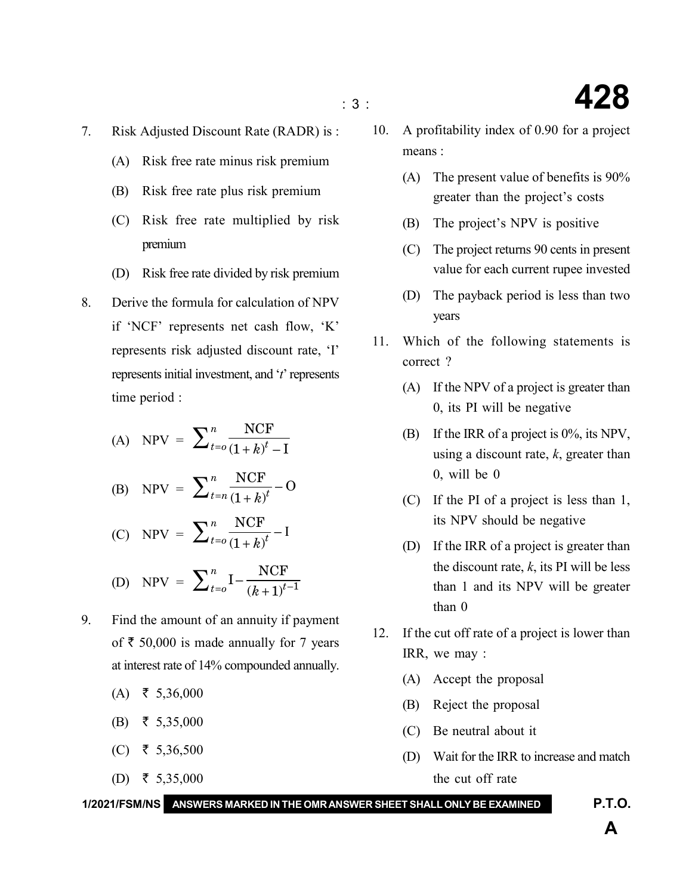- 7. Risk Adjusted Discount Rate (RADR) is :
	- (A) Risk free rate minus risk premium
	- (B) Risk free rate plus risk premium
	- (C) Risk free rate multiplied by risk premium
	- (D) Risk free rate divided by risk premium
- 8. Derive the formula for calculation of NPV if 'NCF' represents net cash flow, 'K' represents risk adjusted discount rate, 'I' represents initial investment, and '*t*' represents time period :

(A) NPV = 
$$
\sum_{t=0}^{n} \frac{\text{NCF}}{(1+k)^{t} - 1}
$$

(B) NPV = 
$$
\sum_{t=n}^{n} \frac{\text{NCF}}{(1+k)^{t}} - \text{O}
$$

 $(C)$  NPV =  $\frac{\text{NCF}}{4}$  –  $(1 + k)$ *n*  $\sum_{t=0}^{n} \frac{\text{NCF}}{(1+k)^{t}} - \text{I}$ 

(D) NPV = 
$$
\sum_{t=0}^{n} \mathbf{I} - \frac{NCF}{(k+1)^{t-1}}
$$

- 9. Find the amount of an annuity if payment of  $\bar{\tau}$  50,000 is made annually for 7 years at interest rate of 14% compounded annually.
	- $(A)$  ₹ 5,36,000
	- (B) ₹ 5,35,000
	- $(C)$  ₹ 5,36,500
	- (D) ₹ 5,35,000
- 10. A profitability index of 0.90 for a project means :
	- (A) The present value of benefits is 90% greater than the project's costs
	- (B) The project's NPV is positive
	- (C) The project returns 90 cents in present value for each current rupee invested
	- (D) The payback period is less than two years
- 11. Which of the following statements is correct ?
	- (A) If the NPV of a project is greater than 0, its PI will be negative
	- (B) If the IRR of a project is 0%, its NPV, using a discount rate, *k*, greater than 0, will be 0
	- (C) If the PI of a project is less than 1, its NPV should be negative
	- (D) If the IRR of a project is greater than the discount rate,  $k$ , its PI will be less than 1 and its NPV will be greater than 0
- 12. If the cut off rate of a project is lower than IRR, we may :
	- (A) Accept the proposal
	- (B) Reject the proposal
	- (C) Be neutral about it
	- (D) Wait for the IRR to increase and match the cut off rate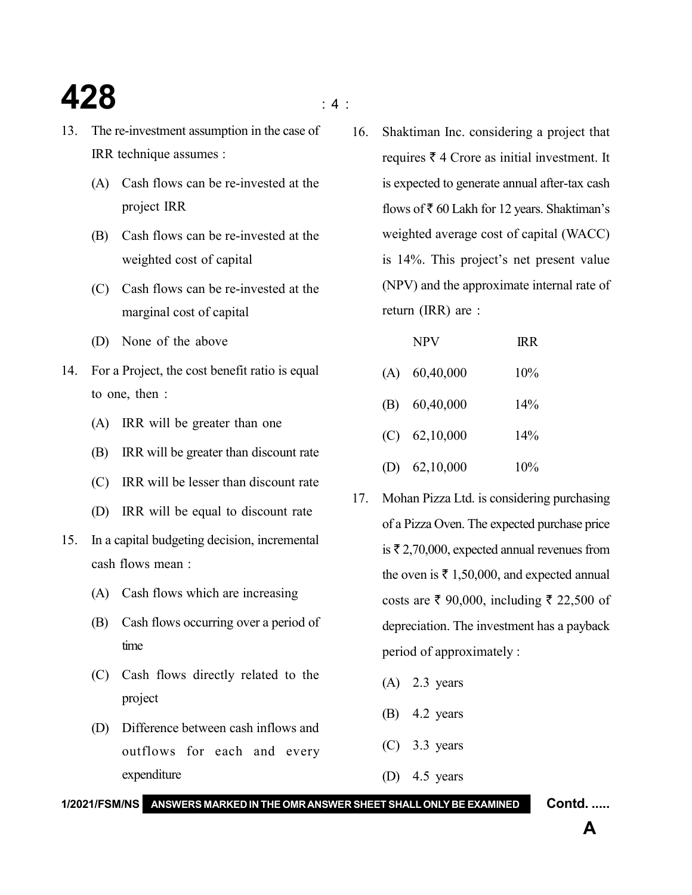### **428**  $\qquad \qquad \bullet$

- 13. The re-investment assumption in the case of IRR technique assumes :
	- (A) Cash flows can be re-invested at the project IRR
	- (B) Cash flows can be re-invested at the weighted cost of capital
	- (C) Cash flows can be re-invested at the marginal cost of capital
	- (D) None of the above
- 14. For a Project, the cost benefit ratio is equal to one, then :
	- (A) IRR will be greater than one
	- (B) IRR will be greater than discount rate
	- (C) IRR will be lesser than discount rate
	- (D) IRR will be equal to discount rate
- 15. In a capital budgeting decision, incremental cash flows mean :
	- (A) Cash flows which are increasing
	- (B) Cash flows occurring over a period of time
	- (C) Cash flows directly related to the project
	- (D) Difference between cash inflows and outflows for each and every expenditure

16. Shaktiman Inc. considering a project that requires  $\bar{\tau}$  4 Crore as initial investment. It is expected to generate annual after-tax cash flows of  $\bar{\tau}$  60 Lakh for 12 years. Shaktiman's weighted average cost of capital (WACC) is 14%. This project's net present value (NPV) and the approximate internal rate of return (IRR) are :

| <b>NPV</b>      | <b>IRR</b> |
|-----------------|------------|
| $(A)$ 60,40,000 | 10%        |
| $(B)$ 60,40,000 | 14%        |
| $(C)$ 62,10,000 | 14%        |
| (D) $62,10,000$ | 10%        |

- 17. Mohan Pizza Ltd. is considering purchasing of a Pizza Oven. The expected purchase price is  $\bar{\tau}$  2,70,000, expected annual revenues from the oven is  $\bar{\tau}$  1,50,000, and expected annual costs are ₹ 90,000, including ₹ 22,500 of depreciation. The investment has a payback period of approximately :
	- (A) 2.3 years
	- (B) 4.2 years
	- (C) 3.3 years
	- (D) 4.5 years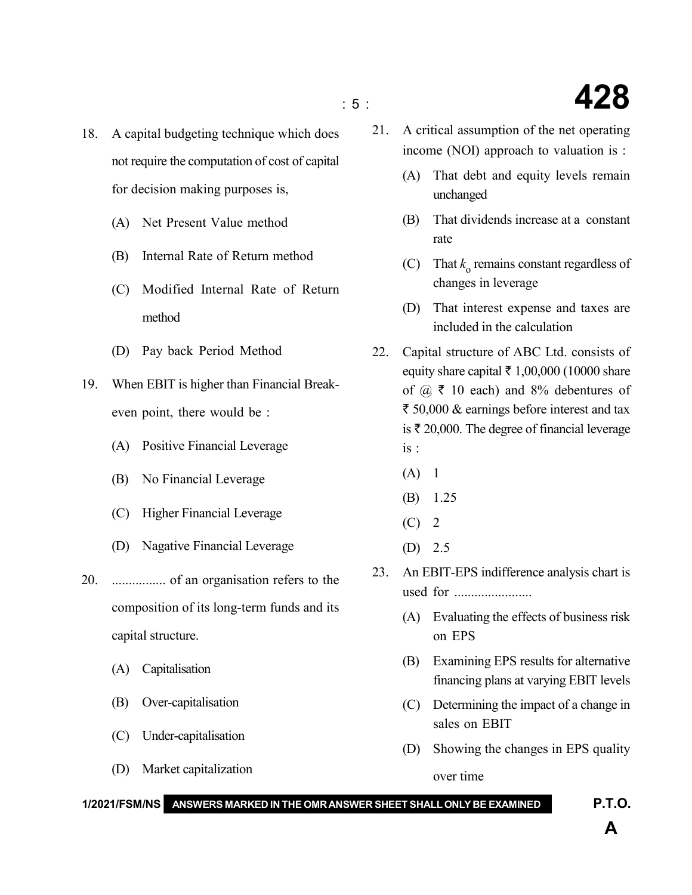- 18. A capital budgeting technique which does not require the computation of cost of capital for decision making purposes is,
	- (A) Net Present Value method
	- (B) Internal Rate of Return method
	- (C) Modified Internal Rate of Return method
	- (D) Pay back Period Method
- 19. When EBIT is higher than Financial Breakeven point, there would be :
	- (A) Positive Financial Leverage
	- (B) No Financial Leverage
	- (C) Higher Financial Leverage
	- (D) Nagative Financial Leverage
- 20. ................ of an organisation refers to the composition of its long-term funds and its capital structure.
	- (A) Capitalisation
	- (B) Over-capitalisation
	- (C) Under-capitalisation
	- (D) Market capitalization
- 21. A critical assumption of the net operating income (NOI) approach to valuation is :
	- (A) That debt and equity levels remain unchanged
	- (B) That dividends increase at a constant rate
	- (C) That  $k_0$  remains constant regardless of changes in leverage
	- (D) That interest expense and taxes are included in the calculation
- 22. Capital structure of ABC Ltd. consists of equity share capital  $\bar{\tau}$  1,00,000 (10000 share of  $\omega \, \bar{\mathbf{z}}$  10 each) and 8% debentures of  $\bar{\tau}$  50,000 & earnings before interest and tax is  $\bar{\tau}$  20,000. The degree of financial leverage is :
	- $(A) 1$
	- (B) 1.25
	- $(C)$  2
	- (D) 2.5
- 23. An EBIT-EPS indifference analysis chart is used for .......................
	- (A) Evaluating the effects of business risk on EPS
	- (B) Examining EPS results for alternative financing plans at varying EBIT levels
	- (C) Determining the impact of a change in sales on EBIT
	- (D) Showing the changes in EPS quality over time
- **1/2021/FSM/NS ANSWERS MARKED IN THE OMR ANSWER SHEET SHALL ONLY BE EXAMINED P.T.O.**

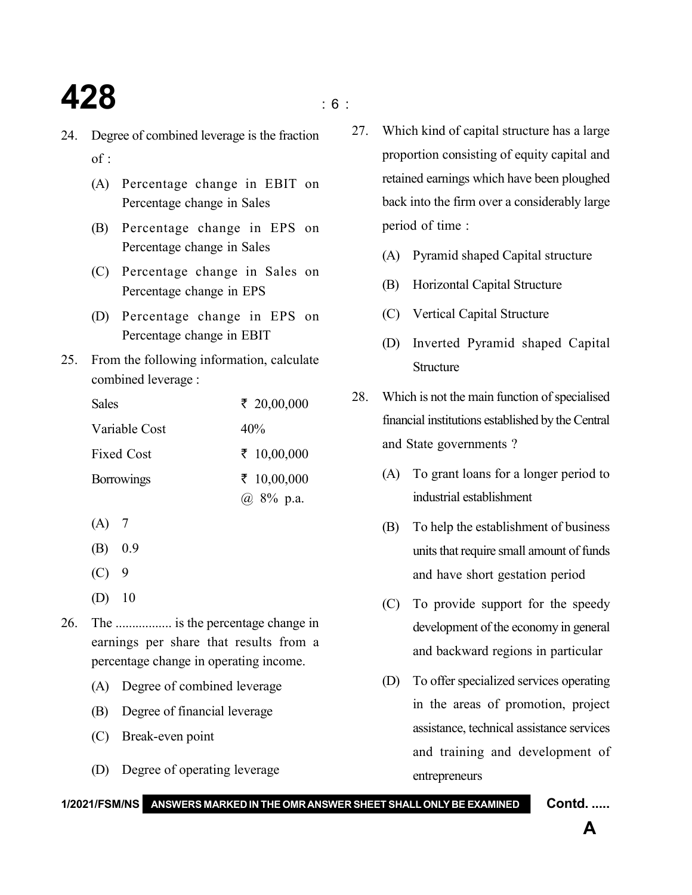## **428** is a set of  $\frac{1}{2}$

- 24. Degree of combined leverage is the fraction  $of$ .
	- (A) Percentage change in EBIT on Percentage change in Sales
	- (B) Percentage change in EPS on Percentage change in Sales
	- (C) Percentage change in Sales on Percentage change in EPS
	- (D) Percentage change in EPS on Percentage change in EBIT
- 25. From the following information, calculate combined leverage :

| <b>Sales</b>      | ₹ 20,00,000 |
|-------------------|-------------|
| Variable Cost     | $40\%$      |
| <b>Fixed Cost</b> | ₹ 10,00,000 |
| <b>Borrowings</b> | ₹ 10,00,000 |
|                   | @ 8% p.a.   |

- $(A)$  7
- (B) 0.9
- $(C)$  9
- (D) 10
- 26. The ................. is the percentage change in earnings per share that results from a percentage change in operating income.
	- (A) Degree of combined leverage
	- (B) Degree of financial leverage
	- (C) Break-even point
	- (D) Degree of operating leverage
- 27. Which kind of capital structure has a large proportion consisting of equity capital and retained earnings which have been ploughed back into the firm over a considerably large period of time :
	- (A) Pyramid shaped Capital structure
	- (B) Horizontal Capital Structure
	- (C) Vertical Capital Structure
	- (D) Inverted Pyramid shaped Capital **Structure**
- 28. Which is not the main function of specialised financial institutions established by the Central and State governments ?
	- (A) To grant loans for a longer period to industrial establishment
	- (B) To help the establishment of business units that require small amount of funds and have short gestation period
	- (C) To provide support for the speedy development of the economy in general and backward regions in particular
	- (D) To offer specialized services operating in the areas of promotion, project assistance, technical assistance services and training and development of entrepreneurs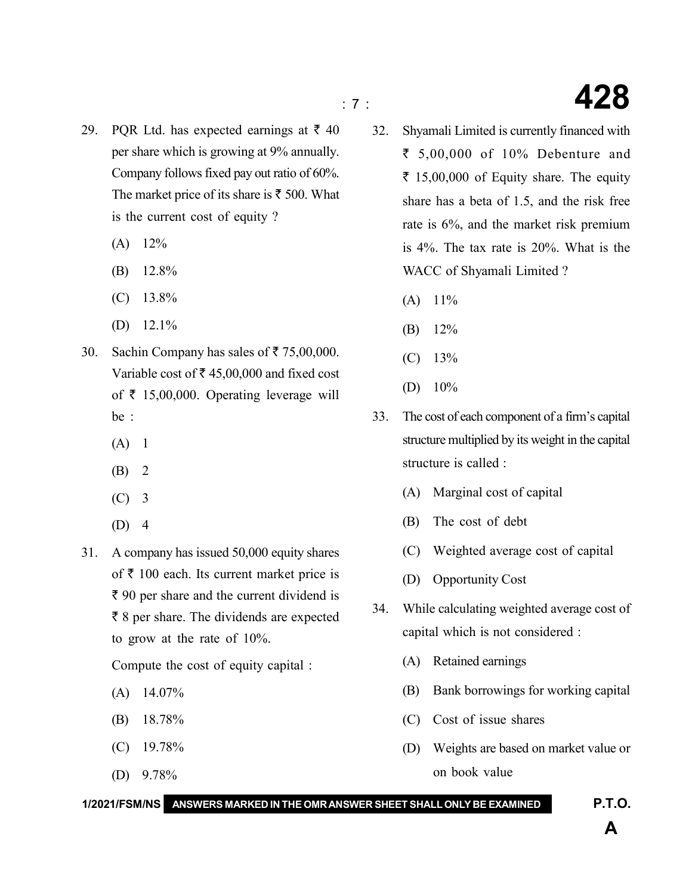- 29. PQR Ltd. has expected earnings at  $\bar{\tau}$  40 per share which is growing at 9% annually. Company follows fixed pay out ratio of 60%. The market price of its share is  $\bar{\tau}$  500. What is the current cost of equity ?
	- $(A)$  12%
	- (B) 12.8%
	- (C) 13.8%
	- (D)  $12.1\%$
- 30. Sachin Company has sales of  $\bar{\tau}$  75,00,000. Variable cost of  $\bar{\tau}$  45,00,000 and fixed cost of  $\bar{\tau}$  15,00,000. Operating leverage will be :
	- $(A) 1$
	- (B) 2
	- (C) 3
	- (D) 4
- 31. A company has issued 50,000 equity shares of  $\bar{\tau}$  100 each. Its current market price is  $\bar{\tau}$  90 per share and the current dividend is  $\bar{\tau}$  8 per share. The dividends are expected to grow at the rate of 10%.

Compute the cost of equity capital :

- $(A)$  14.07%
- (B) 18.78%
- (C) 19.78%
- (D) 9.78%
- 32. Shyamali Limited is currently financed with ₹ 5,00,000 of 10% Debenture and  $\bar{\tau}$  15,00,000 of Equity share. The equity share has a beta of 1.5, and the risk free rate is 6%, and the market risk premium is 4%. The tax rate is 20%. What is the WACC of Shyamali Limited ?
	- $(A)$  11%
	- (B) 12%
	- $(C)$  13%
	- (D) 10%
- 33. The cost of each component of a firm's capital structure multiplied by its weight in the capital structure is called :
	- (A) Marginal cost of capital
	- (B) The cost of debt
	- (C) Weighted average cost of capital
	- (D) Opportunity Cost
- 34. While calculating weighted average cost of capital which is not considered :
	- (A) Retained earnings
	- (B) Bank borrowings for working capital
	- (C) Cost of issue shares

**1/2021/FSM/NS ANSWERS MARKED IN THE OMR ANSWER SHEET SHALL ONLY BE EXAMINED P.T.O.**

(D) Weights are based on market value or on book value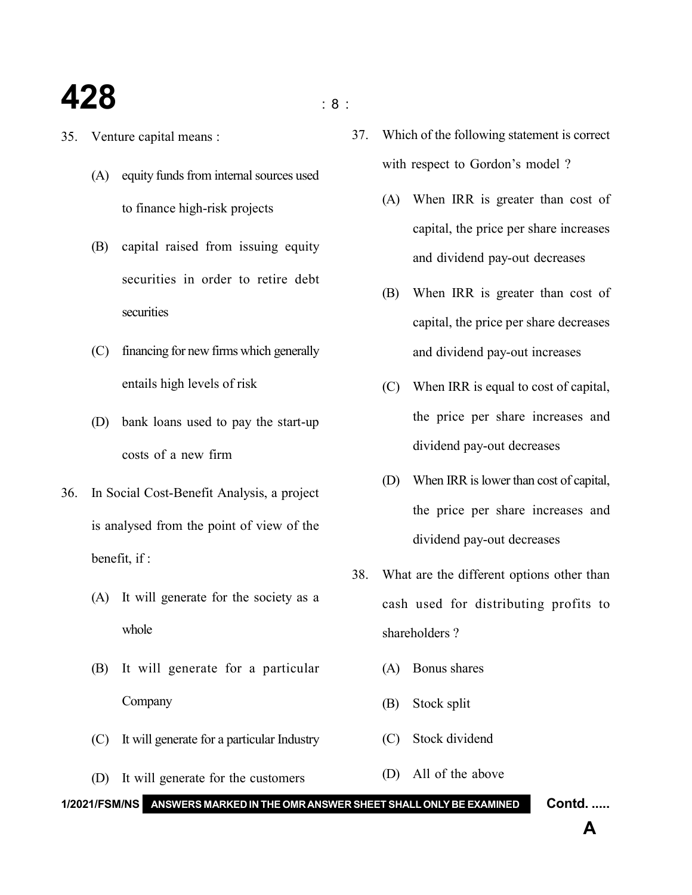#### **428** is a set of  $\mathbf{S}$

- 35. Venture capital means :
	- (A) equity funds from internal sources used to finance high-risk projects
	- (B) capital raised from issuing equity securities in order to retire debt securities
	- (C) financing for new firms which generally entails high levels of risk
	- (D) bank loans used to pay the start-up costs of a new firm
- 36. In Social Cost-Benefit Analysis, a project is analysed from the point of view of the benefit, if :
	- (A) It will generate for the society as a whole
	- (B) It will generate for a particular Company
	- (C) It will generate for a particular Industry
	- (D) It will generate for the customers

37. Which of the following statement is correct with respect to Gordon's model ?

- (A) When IRR is greater than cost of capital, the price per share increases and dividend pay-out decreases
- (B) When IRR is greater than cost of capital, the price per share decreases and dividend pay-out increases
- (C) When IRR is equal to cost of capital, the price per share increases and dividend pay-out decreases
- (D) When IRR is lower than cost of capital, the price per share increases and dividend pay-out decreases
- 38. What are the different options other than cash used for distributing profits to shareholders ?
	- (A) Bonus shares
	- (B) Stock split
	- (C) Stock dividend
- (D) All of the above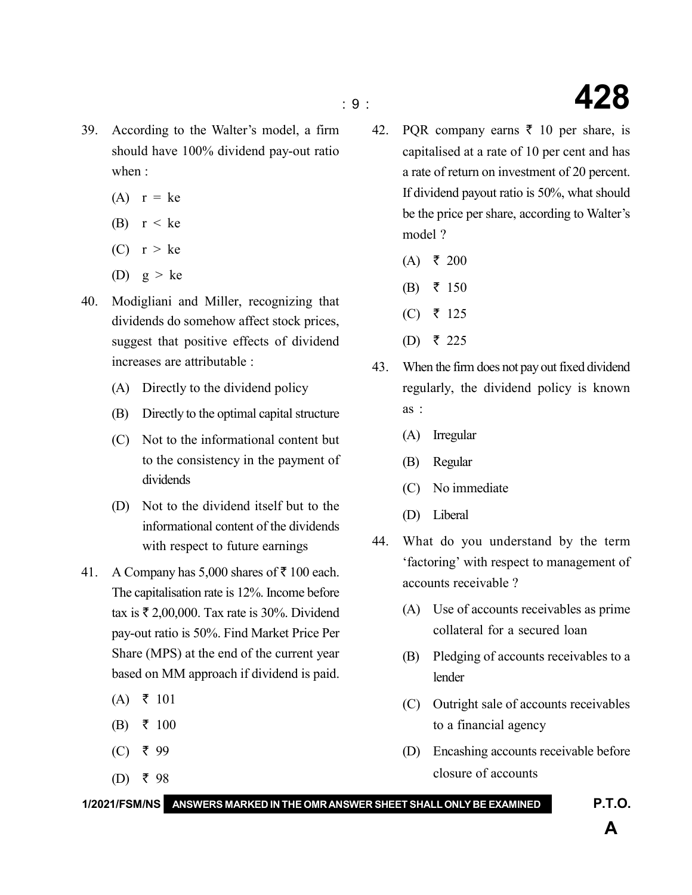- 39. According to the Walter's model, a firm should have 100% dividend pay-out ratio when :
	- $(A)$   $r = ke$
	- (B)  $r < ke$
	- (C)  $r > ke$
	- (D)  $g > ke$
- 40. Modigliani and Miller, recognizing that dividends do somehow affect stock prices, suggest that positive effects of dividend increases are attributable :
	- (A) Directly to the dividend policy
	- (B) Directly to the optimal capital structure
	- (C) Not to the informational content but to the consistency in the payment of dividends
	- (D) Not to the dividend itself but to the informational content of the dividends with respect to future earnings
- 41. A Company has 5,000 shares of  $\bar{\tau}$  100 each. The capitalisation rate is 12%. Income before tax is  $\bar{\tau}$  2,00,000. Tax rate is 30%. Dividend pay-out ratio is 50%. Find Market Price Per Share (MPS) at the end of the current year based on MM approach if dividend is paid.
	- $(A)$   $\bar{z}$  101
	- (B) ₹ 100
	- $(C)$  ₹ 99
	- (D) ₹ 98

42. PQR company earns  $\bar{\tau}$  10 per share, is capitalised at a rate of 10 per cent and has a rate of return on investment of 20 percent. If dividend payout ratio is 50%, what should be the price per share, according to Walter's model ?

- $(A)$  ₹ 200
- (B) ₹ 150
- (C) ₹ 125
- (D) ₹ 225
- 43. When the firm does not pay out fixed dividend regularly, the dividend policy is known as :
	- (A) Irregular
	- (B) Regular
	- (C) No immediate
	- (D) Liberal
- 44. What do you understand by the term 'factoring' with respect to management of accounts receivable ?
	- (A) Use of accounts receivables as prime collateral for a secured loan
	- (B) Pledging of accounts receivables to a lender
	- (C) Outright sale of accounts receivables to a financial agency
	- (D) Encashing accounts receivable before closure of accounts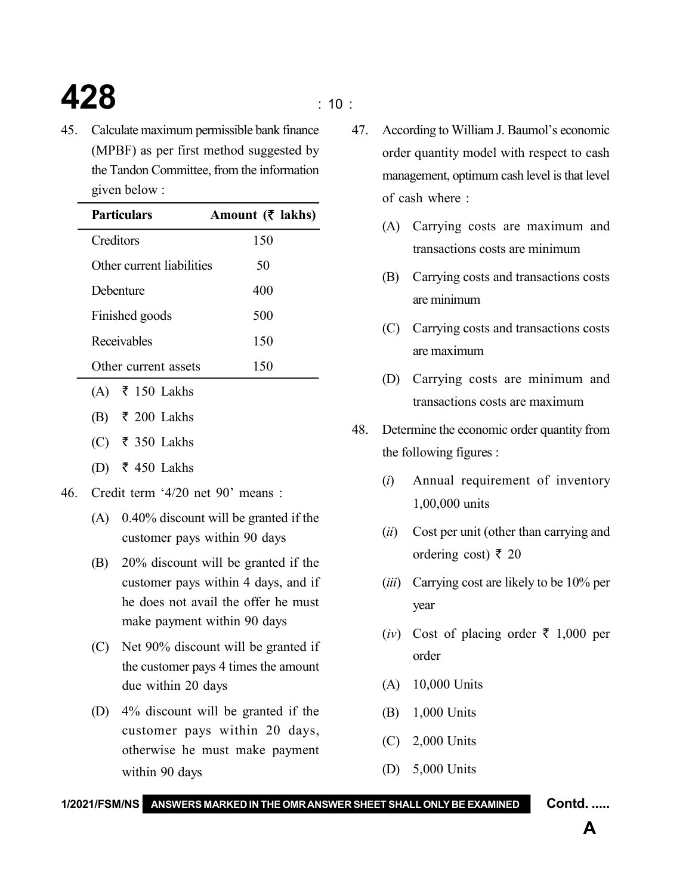# **428**  $\qquad \qquad$  : 10 :

45. Calculate maximum permissible bank finance (MPBF) as per first method suggested by the Tandon Committee, from the information given below :

| Particulars                       | Amount $(\bar{\mathbf{\zeta}})$ lakhs) |
|-----------------------------------|----------------------------------------|
| Creditors                         | 150                                    |
| Other current liabilities         | 50                                     |
| Debenture                         | 400                                    |
| Finished goods                    | 500                                    |
| Receivables                       | 150                                    |
| Other current assets              | 150                                    |
| (A) ₹ 150 Lakhs                   |                                        |
| (B) ₹ 200 Lakhs                   |                                        |
| (C) ₹ 350 Lakhs                   |                                        |
| $\bar{\epsilon}$ 450 Lakhs<br>(D) |                                        |

- 46. Credit term '4/20 net 90' means :
	- (A) 0.40% discount will be granted if the customer pays within 90 days
	- (B) 20% discount will be granted if the customer pays within 4 days, and if he does not avail the offer he must make payment within 90 days
	- (C) Net 90% discount will be granted if the customer pays 4 times the amount due within 20 days
	- (D) 4% discount will be granted if the customer pays within 20 days, otherwise he must make payment within 90 days
- 47. According to William J. Baumol's economic order quantity model with respect to cash management, optimum cash level is that level of cash where :
	- (A) Carrying costs are maximum and transactions costs are minimum
	- (B) Carrying costs and transactions costs are minimum
	- (C) Carrying costs and transactions costs are maximum
	- (D) Carrying costs are minimum and transactions costs are maximum
- 48. Determine the economic order quantity from the following figures :
	- (*i*) Annual requirement of inventory 1,00,000 units
	- (*ii*) Cost per unit (other than carrying and ordering cost) ₹ 20
	- (*iii*) Carrying cost are likely to be 10% per year
	- (*iv*) Cost of placing order  $\bar{\tau}$  1,000 per order
	- (A) 10,000 Units
	- (B) 1,000 Units
	- (C) 2,000 Units
	- (D) 5,000 Units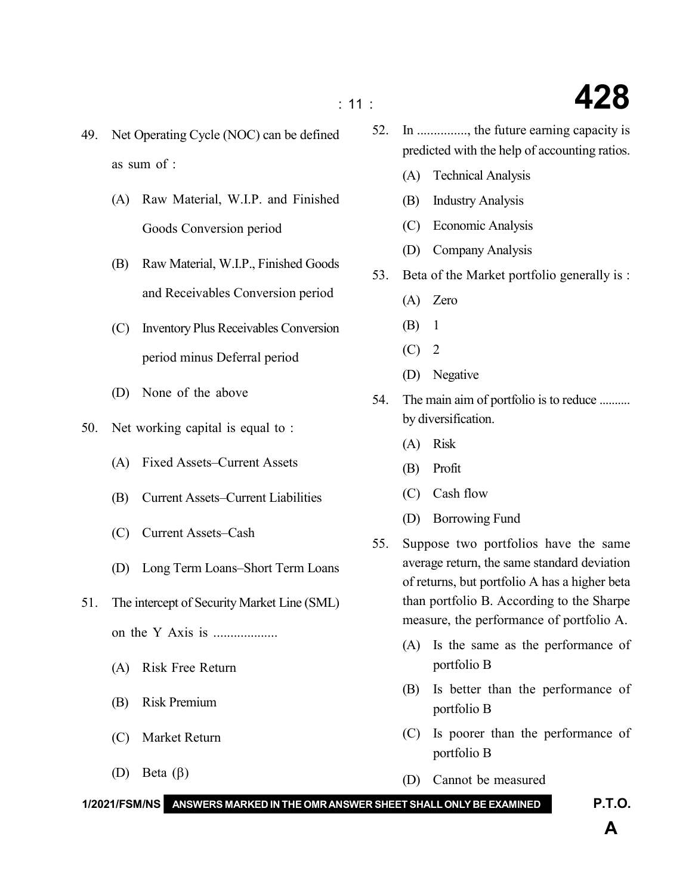- 49. Net Operating Cycle (NOC) can be defined as sum of :
	- (A) Raw Material, W.I.P. and Finished Goods Conversion period
	- (B) Raw Material, W.I.P., Finished Goods and Receivables Conversion period
	- (C) Inventory Plus Receivables Conversion period minus Deferral period
	- (D) None of the above
- 50. Net working capital is equal to :
	- (A) Fixed Assets–Current Assets
	- (B) Current Assets–Current Liabilities
	- (C) Current Assets–Cash
	- (D) Long Term Loans–Short Term Loans
- 51. The intercept of Security Market Line (SML) on the Y Axis is ...................
	- (A) Risk Free Return
	- (B) Risk Premium
	- (C) Market Return
	- (D) Beta  $(\beta)$
- 52. In ..............., the future earning capacity is predicted with the help of accounting ratios.
	- (A) Technical Analysis
	- (B) Industry Analysis
	- (C) Economic Analysis
	- (D) Company Analysis
- 53. Beta of the Market portfolio generally is :
	- (A) Zero
	- (B) 1
	- $(C)$  2
	- (D) Negative
- 54. The main aim of portfolio is to reduce .......... by diversification.
	- (A) Risk
	- (B) Profit
	- (C) Cash flow
	- (D) Borrowing Fund
- 55. Suppose two portfolios have the same average return, the same standard deviation of returns, but portfolio A has a higher beta than portfolio B. According to the Sharpe measure, the performance of portfolio A.
	- (A) Is the same as the performance of portfolio B
	- (B) Is better than the performance of portfolio B
	- (C) Is poorer than the performance of portfolio B
	- (D) Cannot be measured

**1/2021/FSM/NS ANSWERS MARKED IN THE OMR ANSWER SHEET SHALL ONLY BE EXAMINED P.T.O.**

### : 11 : **428**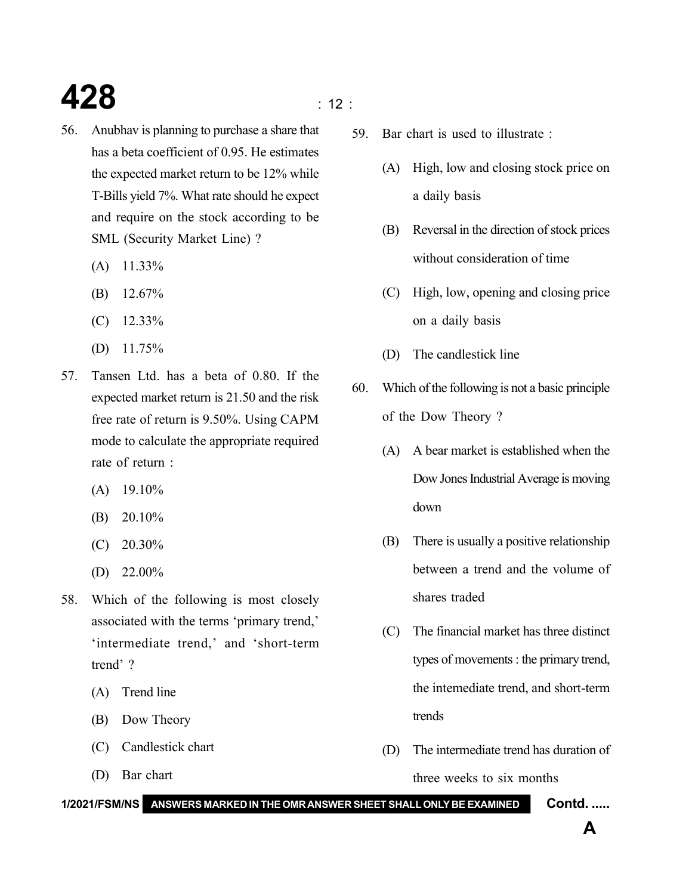## **428**  $\qquad \qquad$  12 :

- 56. Anubhav is planning to purchase a share that has a beta coefficient of 0.95. He estimates the expected market return to be 12% while T-Bills yield 7%. What rate should he expect and require on the stock according to be SML (Security Market Line) ?
	- $(A)$  11.33%
	- (B) 12.67%
	- (C) 12.33%
	- (D) 11.75%
- 57. Tansen Ltd. has a beta of 0.80. If the expected market return is 21.50 and the risk free rate of return is 9.50%. Using CAPM mode to calculate the appropriate required rate of return :
	- $(A)$  19.10%
	- (B) 20.10%
	- (C) 20.30%
	- (D) 22.00%
- 58. Which of the following is most closely associated with the terms 'primary trend,' 'intermediate trend,' and 'short-term trend' ?
	- (A) Trend line
	- (B) Dow Theory
	- (C) Candlestick chart
	- (D) Bar chart

- 59. Bar chart is used to illustrate :
	- (A) High, low and closing stock price on a daily basis
	- (B) Reversal in the direction of stock prices without consideration of time
	- (C) High, low, opening and closing price on a daily basis
	- (D) The candlestick line
- 60. Which of the following is not a basic principle of the Dow Theory ?
	- (A) A bear market is established when the Dow Jones Industrial Average is moving down
	- (B) There is usually a positive relationship between a trend and the volume of shares traded
	- (C) The financial market has three distinct types of movements : the primary trend, the intemediate trend, and short-term trends
	- (D) The intermediate trend has duration of three weeks to six months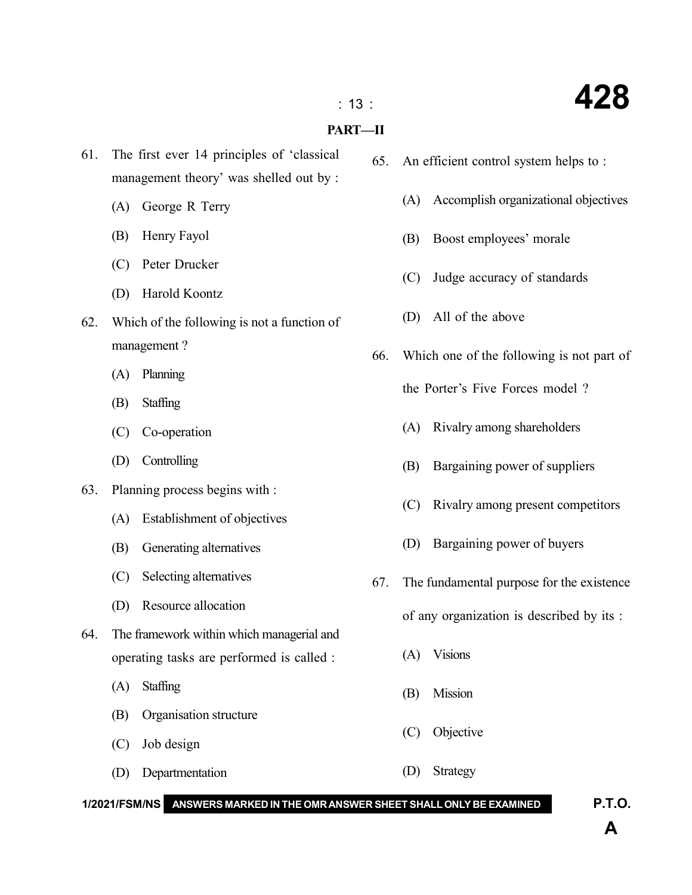#### : 13 : **428**

#### **PART—II**

- 61. The first ever 14 principles of 'classical management theory' was shelled out by :
	- (A) George R Terry
	- (B) Henry Fayol
	- (C) Peter Drucker
	- (D) Harold Koontz
- 62. Which of the following is not a function of management ?
	- (A) Planning
	- (B) Staffing
	- (C) Co-operation
	- (D) Controlling
- 63. Planning process begins with :
	- (A) Establishment of objectives
	- (B) Generating alternatives
	- (C) Selecting alternatives
	- (D) Resource allocation
- 64. The framework within which managerial and operating tasks are performed is called :
	- (A) Staffing
	- (B) Organisation structure
	- (C) Job design
	- (D) Departmentation (D) Strategy

65. An efficient control system helps to :

- (A) Accomplish organizational objectives
- (B) Boost employees' morale
- (C) Judge accuracy of standards
- (D) All of the above
- 66. Which one of the following is not part of
	- the Porter's Five Forces model ?
	- (A) Rivalry among shareholders
	- (B) Bargaining power of suppliers
	- (C) Rivalry among present competitors
	- (D) Bargaining power of buyers
- 67. The fundamental purpose for the existence

of any organization is described by its :

- (A) Visions
- (B) Mission
- (C) Objective
- **1/2021/FSM/NS ANSWERS MARKED IN THE OMR ANSWER SHEET SHALL ONLY BE EXAMINED P.T.O.**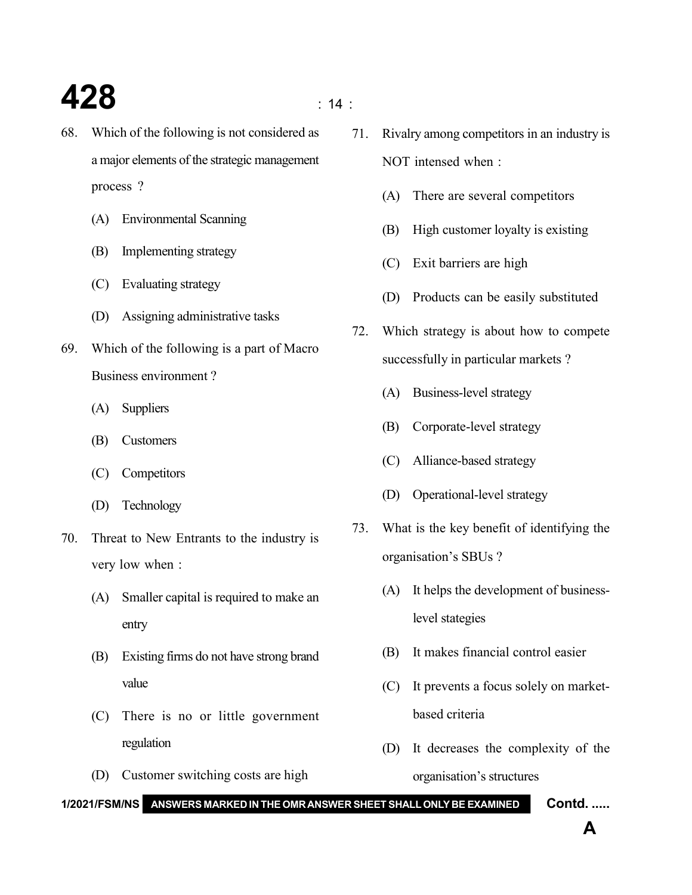## **428**  $\frac{1}{4}$

- 68. Which of the following is not considered as a major elements of the strategic management process ?
	- (A) Environmental Scanning
	- (B) Implementing strategy
	- (C) Evaluating strategy
	- (D) Assigning administrative tasks
- 69. Which of the following is a part of Macro Business environment ?
	- (A) Suppliers
	- (B) Customers
	- (C) Competitors
	- (D) Technology
- 70. Threat to New Entrants to the industry is very low when :
	- (A) Smaller capital is required to make an entry
	- (B) Existing firms do not have strong brand value
	- (C) There is no or little government regulation
	- (D) Customer switching costs are high
- 71. Rivalry among competitors in an industry is NOT intensed when :
	- (A) There are several competitors
	- (B) High customer loyalty is existing
	- (C) Exit barriers are high
	- (D) Products can be easily substituted
- 72. Which strategy is about how to compete successfully in particular markets ?
	- (A) Business-level strategy
	- (B) Corporate-level strategy
	- (C) Alliance-based strategy
	- (D) Operational-level strategy
- 73. What is the key benefit of identifying the organisation's SBUs ?
	- (A) It helps the development of businesslevel stategies
	- (B) It makes financial control easier
	- (C) It prevents a focus solely on marketbased criteria
	- (D) It decreases the complexity of the organisation's structures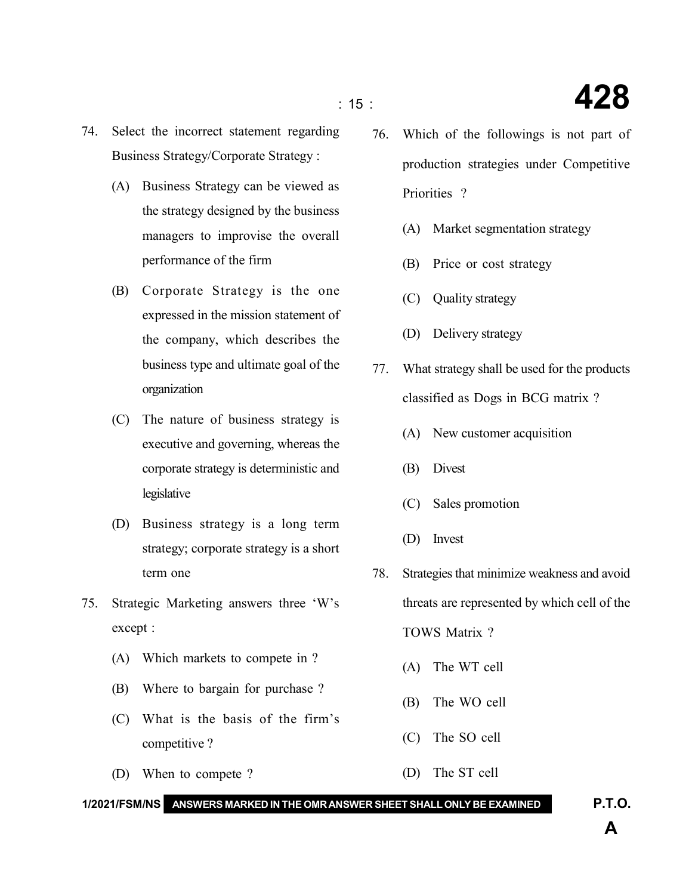- 74. Select the incorrect statement regarding Business Strategy/Corporate Strategy :
	- (A) Business Strategy can be viewed as the strategy designed by the business managers to improvise the overall performance of the firm
	- (B) Corporate Strategy is the one expressed in the mission statement of the company, which describes the business type and ultimate goal of the organization
	- (C) The nature of business strategy is executive and governing, whereas the corporate strategy is deterministic and legislative
	- (D) Business strategy is a long term strategy; corporate strategy is a short term one
- 75. Strategic Marketing answers three 'W's except :
	- (A) Which markets to compete in ?
	- (B) Where to bargain for purchase ?
	- (C) What is the basis of the firm's competitive ?
	- (D) When to compete ?
- 76. Which of the followings is not part of production strategies under Competitive Priorities ?
	- (A) Market segmentation strategy
	- (B) Price or cost strategy
	- (C) Quality strategy
	- (D) Delivery strategy
- 77. What strategy shall be used for the products classified as Dogs in BCG matrix ?
	- (A) New customer acquisition
	- (B) Divest
	- (C) Sales promotion
	- (D) Invest
- 78. Strategies that minimize weakness and avoid threats are represented by which cell of the TOWS Matrix ?
	- (A) The WT cell
	- (B) The WO cell
	- (C) The SO cell
- (D) The ST cell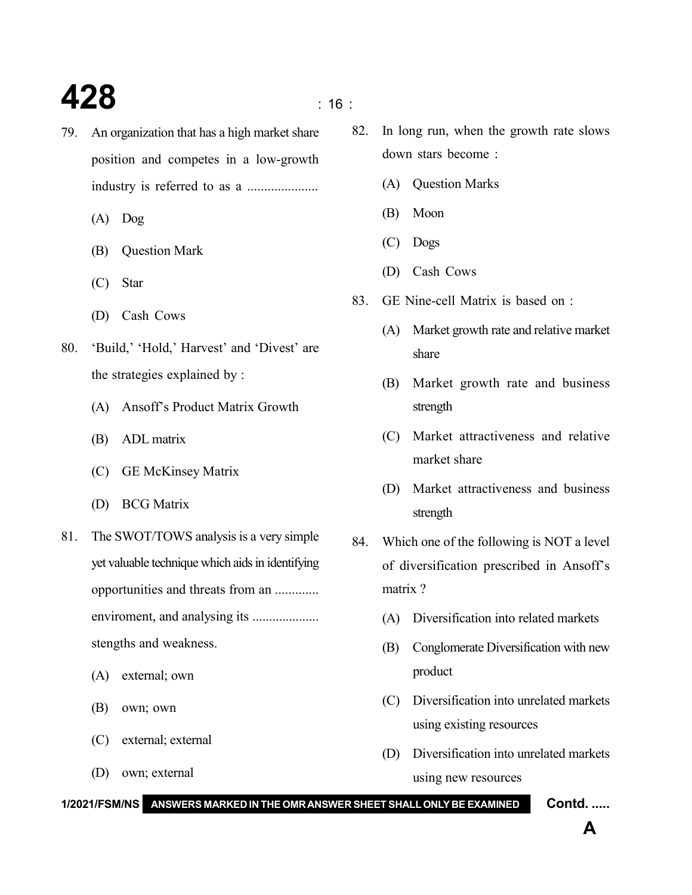## **428** is a set of  $\frac{1}{16}$  is a set of  $\frac{1}{16}$  is a set of  $\frac{1}{16}$  is a set of  $\frac{1}{16}$  is a set of  $\frac{1}{16}$  is a set of  $\frac{1}{16}$  is a set of  $\frac{1}{16}$  is a set of  $\frac{1}{16}$  is a set of  $\frac{1}{16}$  is a set

- 79. An organization that has a high market share position and competes in a low-growth industry is referred to as a .....................
	- (A) Dog
	- (B) Question Mark
	- (C) Star
	- (D) Cash Cows
- 80. 'Build,' 'Hold,' Harvest' and 'Divest' are the strategies explained by :
	- (A) Ansoff's Product Matrix Growth
	- (B) ADL matrix
	- (C) GE McKinsey Matrix
	- (D) BCG Matrix
- 81. The SWOT/TOWS analysis is a very simple yet valuable technique which aids in identifying opportunities and threats from an ............. enviroment, and analysing its .................... stengths and weakness.
	- (A) external; own
	- (B) own; own
	- (C) external; external
	- (D) own; external
- 82. In long run, when the growth rate slows down stars become :
	- (A) Question Marks
	- (B) Moon
	- (C) Dogs
	- (D) Cash Cows
- 83. GE Nine-cell Matrix is based on :
	- (A) Market growth rate and relative market share
	- (B) Market growth rate and business strength
	- (C) Market attractiveness and relative market share
	- (D) Market attractiveness and business strength
- 84. Which one of the following is NOT a level of diversification prescribed in Ansoff's matrix ?
	- (A) Diversification into related markets
	- (B) Conglomerate Diversification with new product
	- (C) Diversification into unrelated markets using existing resources
	- (D) Diversification into unrelated markets using new resources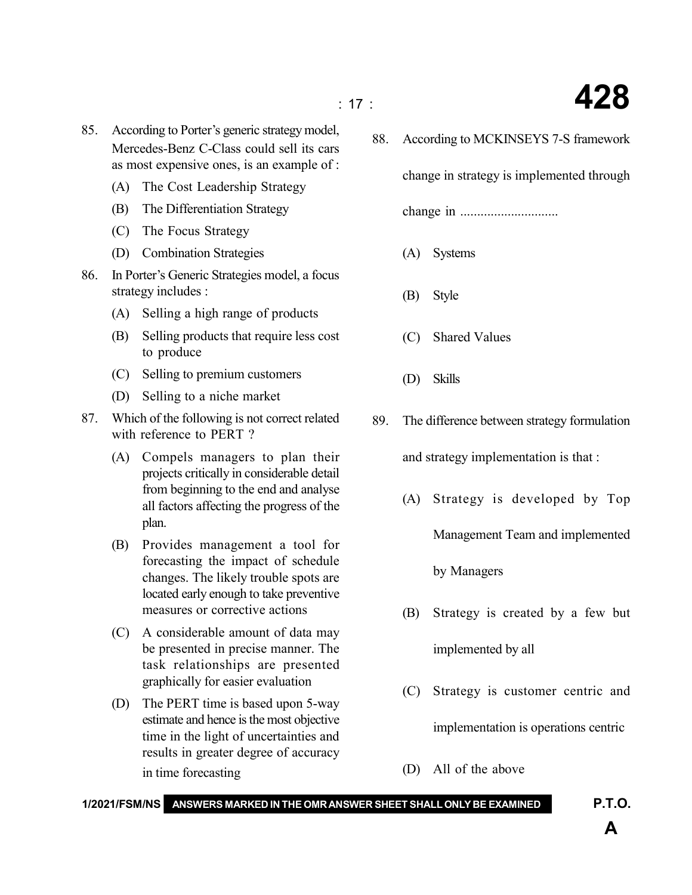- 85. According to Porter's generic strategy model, Mercedes-Benz C-Class could sell its cars as most expensive ones, is an example of :
	- (A) The Cost Leadership Strategy
	- (B) The Differentiation Strategy
	- (C) The Focus Strategy
	- (D) Combination Strategies
- 86. In Porter's Generic Strategies model, a focus strategy includes :
	- (A) Selling a high range of products
	- (B) Selling products that require less cost to produce
	- (C) Selling to premium customers
	- (D) Selling to a niche market
- 87. Which of the following is not correct related with reference to PERT ?
	- (A) Compels managers to plan their projects critically in considerable detail from beginning to the end and analyse all factors affecting the progress of the plan.
	- (B) Provides management a tool for forecasting the impact of schedule changes. The likely trouble spots are located early enough to take preventive measures or corrective actions
	- (C) A considerable amount of data may be presented in precise manner. The task relationships are presented graphically for easier evaluation
	- (D) The PERT time is based upon 5-way estimate and hence is the most objective time in the light of uncertainties and results in greater degree of accuracy in time forecasting

88. According to MCKINSEYS 7-S framework

change in strategy is implemented through

change in .............................

- (A) Systems
- (B) Style
- (C) Shared Values
- (D) Skills
- 89. The difference between strategy formulation

and strategy implementation is that :

- (A) Strategy is developed by Top Management Team and implemented by Managers
- (B) Strategy is created by a few but implemented by all
- (C) Strategy is customer centric and implementation is operations centric
- (D) All of the above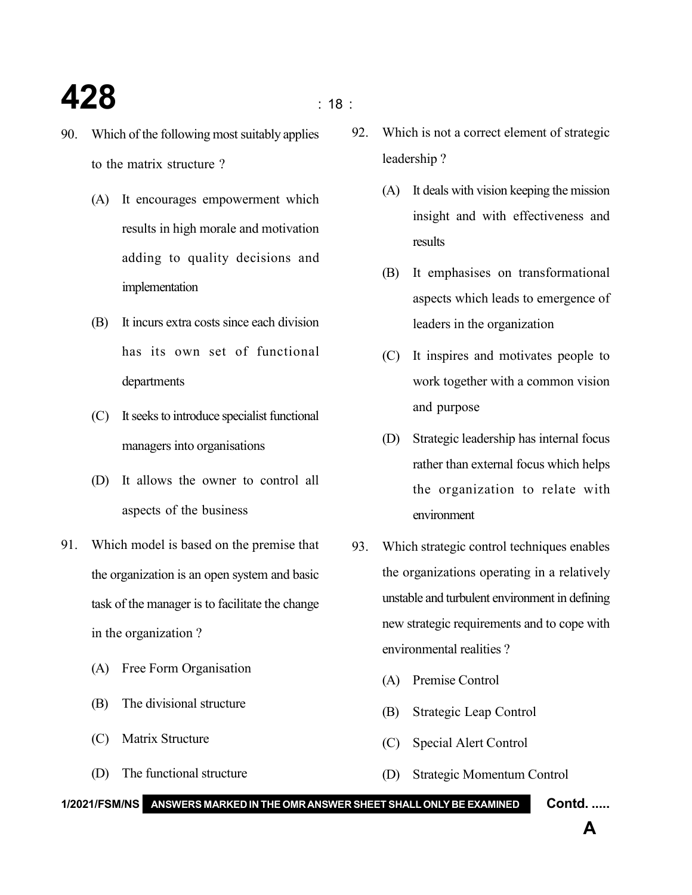#### **428**  $\qquad \qquad \overline{\qquad}$  : 18 :

- 90. Which of the following most suitably applies to the matrix structure ?
	- (A) It encourages empowerment which results in high morale and motivation adding to quality decisions and implementation
	- (B) It incurs extra costs since each division has its own set of functional departments
	- (C) It seeks to introduce specialist functional managers into organisations
	- (D) It allows the owner to control all aspects of the business
- 91. Which model is based on the premise that the organization is an open system and basic task of the manager is to facilitate the change in the organization ?
	- (A) Free Form Organisation
	- (B) The divisional structure
	- (C) Matrix Structure
	- (D) The functional structure
- 92. Which is not a correct element of strategic leadership ?
	- (A) It deals with vision keeping the mission insight and with effectiveness and results
	- (B) It emphasises on transformational aspects which leads to emergence of leaders in the organization
	- (C) It inspires and motivates people to work together with a common vision and purpose
	- (D) Strategic leadership has internal focus rather than external focus which helps the organization to relate with environment
- 93. Which strategic control techniques enables the organizations operating in a relatively unstable and turbulent environment in defining new strategic requirements and to cope with environmental realities ?
	- (A) Premise Control
	- (B) Strategic Leap Control
	- (C) Special Alert Control
	- (D) Strategic Momentum Control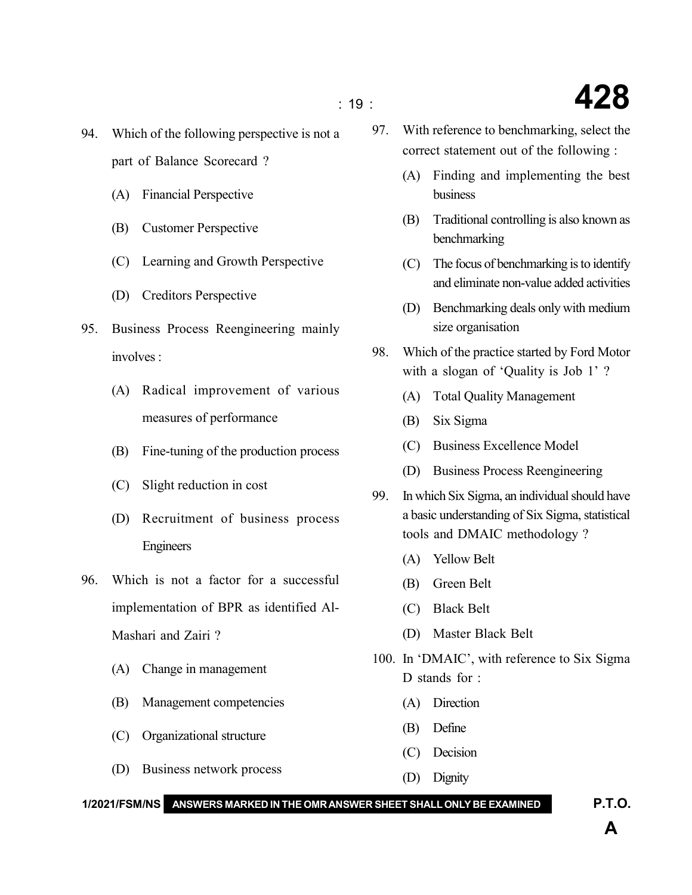- 94. Which of the following perspective is not a part of Balance Scorecard ?
	- (A) Financial Perspective
	- (B) Customer Perspective
	- (C) Learning and Growth Perspective
	- (D) Creditors Perspective
- 95. Business Process Reengineering mainly involves :
	- (A) Radical improvement of various measures of performance
	- (B) Fine-tuning of the production process
	- (C) Slight reduction in cost
	- (D) Recruitment of business process Engineers
- 96. Which is not a factor for a successful implementation of BPR as identified Al-Mashari and Zairi ?
	- (A) Change in management
	- (B) Management competencies
	- (C) Organizational structure
	- (D) Business network process
- 97. With reference to benchmarking, select the correct statement out of the following :
	- (A) Finding and implementing the best business
	- (B) Traditional controlling is also known as benchmarking
	- (C) The focus of benchmarking is to identify and eliminate non-value added activities
	- (D) Benchmarking deals only with medium size organisation
- 98. Which of the practice started by Ford Motor with a slogan of 'Quality is Job 1'?
	- (A) Total Quality Management
	- (B) Six Sigma
	- (C) Business Excellence Model
	- (D) Business Process Reengineering
- 99. In which Six Sigma, an individual should have a basic understanding of Six Sigma, statistical tools and DMAIC methodology ?
	- (A) Yellow Belt
	- (B) Green Belt
	- (C) Black Belt
	- (D) Master Black Belt
- 100. In 'DMAIC', with reference to Six Sigma D stands for :
	- (A) Direction
	- (B) Define
	- (C) Decision
	- (D) Dignity